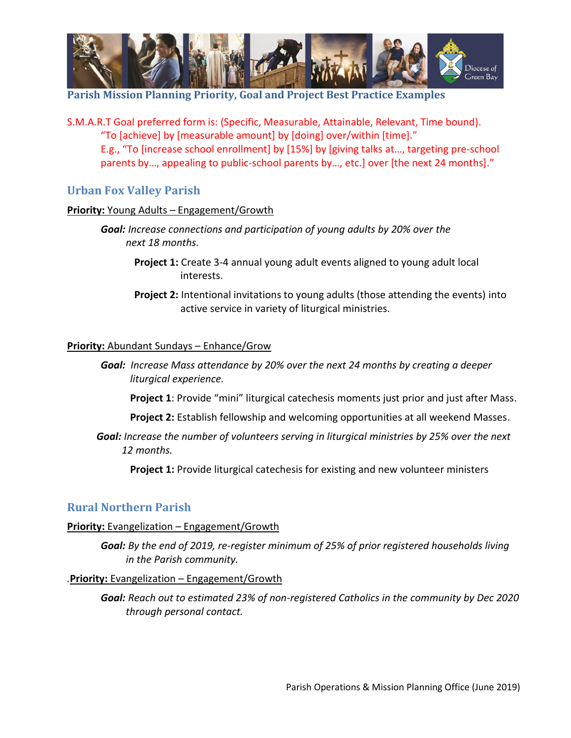

**Parish Mission Planning Priority, Goal and Project Best Practice Examples**

S.M.A.R.T Goal preferred form is: (Specific, Measurable, Attainable, Relevant, Time bound). "To [achieve] by [measurable amount] by [doing] over/within [time]." E.g., "To [increase school enrollment] by [15%] by [giving talks at…, targeting pre-school parents by…, appealing to public-school parents by…, etc.] over [the next 24 months]."

# **Urban Fox Valley Parish**

### **Priority:** Young Adults – Engagement/Growth

*Goal: Increase connections and participation of young adults by 20% over the next 18 months.*

- **Project 1:** Create 3-4 annual young adult events aligned to young adult local interests.
- **Project 2:** Intentional invitations to young adults (those attending the events) into active service in variety of liturgical ministries.

### **Priority:** Abundant Sundays – Enhance/Grow

- *Goal:**Increase Mass attendance by 20% over the next 24 months by creating a deeper liturgical experience.*
	- **Project 1**: Provide "mini" liturgical catechesis moments just prior and just after Mass.
	- **Project 2:** Establish fellowship and welcoming opportunities at all weekend Masses.
- *Goal: Increase the number of volunteers serving in liturgical ministries by 25% over the next 12 months.*

**Project 1:** Provide liturgical catechesis for existing and new volunteer ministers

## **Rural Northern Parish**

### **Priority:** Evangelization – Engagement/Growth

*Goal: By the end of 2019, re-register minimum of 25% of prior registered households living in the Parish community.*

### *.***Priority:** Evangelization – Engagement/Growth

*Goal: Reach out to estimated 23% of non-registered Catholics in the community by Dec 2020 through personal contact.*